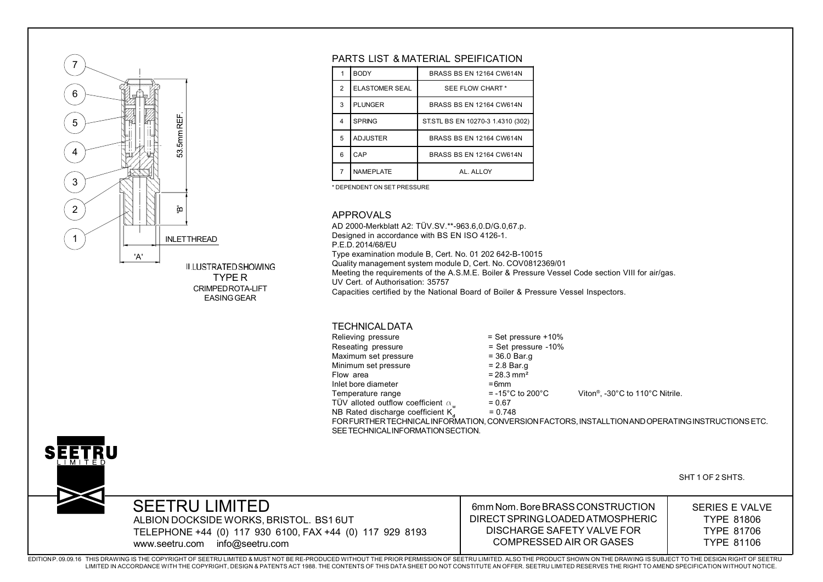

#### PARTS LIST & MATERIAL SPEIFICATION

|  |   | <b>BODY</b>           | <b>BRASS BS EN 12164 CW614N</b>   |
|--|---|-----------------------|-----------------------------------|
|  | 2 | <b>ELASTOMER SEAL</b> | SEE FLOW CHART*                   |
|  | 3 | <b>PLUNGER</b>        | <b>BRASS BS EN 12164 CW614N</b>   |
|  | 4 | <b>SPRING</b>         | ST.STL BS EN 10270-3 1.4310 (302) |
|  | 5 | <b>ADJUSTER</b>       | <b>BRASS BS EN 12164 CW614N</b>   |
|  | 6 | CAP                   | <b>BRASS BS EN 12164 CW614N</b>   |
|  | 7 | <b>NAMEPLATE</b>      | AI AII OY                         |
|  |   |                       |                                   |

\* DEPENDENT ON SET PRESSURE

#### APPROVALS

AD 2000-Merkblatt A2: TÜV.SV.\*\*-963.6,0.D/G.0,67.p. Designed in accordance with BS EN ISO 4126-1. P.E.D. 2014/68/EUType examination module B, Cert. No. 01 202 642-B-10015 Quality management system module D, Cert. No. COV0812369/01 Meeting the requirements of the A.S.M.E. Boiler & Pressure Vessel Code section VIII for air/gas. UV Cert. of Authorisation: 35757Capacities certified by the National Board of Boiler & Pressure Vessel Inspectors.

#### TECHNICAL DATA

| Relieving pressure                                    | $=$ Set pr        |
|-------------------------------------------------------|-------------------|
| Reseating pressure                                    | $=$ Set p         |
| Maximum set pressure                                  | $= 36.0 E$        |
| Minimum set pressure                                  | $= 2.8 Bi$        |
| Flow area                                             | $= 28.3 n$        |
| Inlet bore diameter                                   | $=6$ mm           |
| Temperature range                                     | $= -15^{\circ}$ C |
| TÜV alloted outflow coefficient $\alpha_{\mathbf{w}}$ | $= 0.67$          |
| NB Rated discharge coefficient K <sub>a</sub>         | $= 0.748$         |
|                                                       |                   |

 $=$  Set pressure +10%  $=$  Set pressure -10%  $= 36.0$  Bar.g  $= 2.8$  Bar.g  $= 28.3$  mm<sup>2</sup>  $= 6$ mm  $= 0.67$ 

 $= -15^{\circ}$ C to 200 $^{\circ}$ C Viton®, -30 $^{\circ}$ C to 110 $^{\circ}$ C Nitrile.

FOR FURTHER TECHNICAL INFORMATION, CONVERSION FACTORS, INSTALLTION AND OPERATING INSTRUCTIONS ETC. SEE TECHNICAL INFORMATION SECTION.



SHT 1 OF 2 SHTS.

SEETRU LIMITEDALBION DOCKSIDE WORKS, BRISTOL. BS1 6UT TELEPHONE +44 (0) 117 930 6100, FAX +44 (0) 117 929 8193 www.seetru.com info@seetru.com

6mm Nom. Bore BRASS CONSTRUCTIONDIRECT SPRING LOADED ATMOSPHERICDISCHARGE SAFETY VALVE FORCOMPRESSED AIR OR GASES

SERIES E VALVE TYPE 81806TYPE 81706TYPE 81106

EDITION P. 09.09.16 THIS DRAWING IS THE COPYRIGHT OF SEETRU LIMITED & MUST NOT BE RE-PRODUCED WITHOUT THE PRIOR PERMISSION OF SEETRU LIMITED. ALSO THE PRODUCT SHOWN ON THE DRAWING IS SUBJECT TO THE DESIGN RIGHT OF SEETRULIMITED IN ACCORDANCE WITH THE COPYRIGHT, DESIGN & PATENTS ACT 1988. THE CONTENTS OF THIS DATA SHEET DO NOT CONSTITUTE AN OFFER. SEETRU LIMITED RESERVES THE RIGHT TO AMEND SPECIFICATION WITHOUT NOTICE.